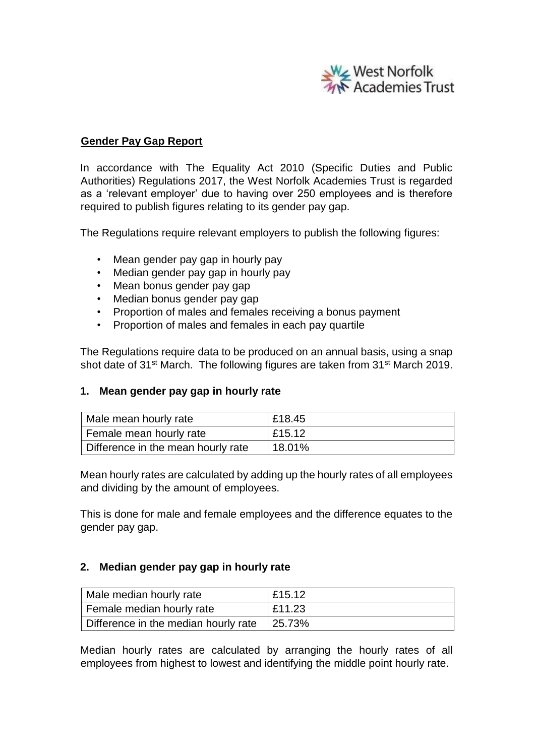

## **Gender Pay Gap Report**

In accordance with The Equality Act 2010 (Specific Duties and Public Authorities) Regulations 2017, the West Norfolk Academies Trust is regarded as a 'relevant employer' due to having over 250 employees and is therefore required to publish figures relating to its gender pay gap.

The Regulations require relevant employers to publish the following figures:

- Mean gender pay gap in hourly pay
- Median gender pay gap in hourly pay
- Mean bonus gender pay gap
- Median bonus gender pay gap
- Proportion of males and females receiving a bonus payment
- Proportion of males and females in each pay quartile

The Regulations require data to be produced on an annual basis, using a snap shot date of 31<sup>st</sup> March. The following figures are taken from 31<sup>st</sup> March 2019.

### **1. Mean gender pay gap in hourly rate**

| Male mean hourly rate              | £18.45 |
|------------------------------------|--------|
| Female mean hourly rate            | £15.12 |
| Difference in the mean hourly rate | 18.01% |

Mean hourly rates are calculated by adding up the hourly rates of all employees and dividing by the amount of employees.

This is done for male and female employees and the difference equates to the gender pay gap.

### **2. Median gender pay gap in hourly rate**

| Male median hourly rate              | £15.12     |
|--------------------------------------|------------|
| Female median hourly rate            | £11.23     |
| Difference in the median hourly rate | $ 25.73\%$ |

Median hourly rates are calculated by arranging the hourly rates of all employees from highest to lowest and identifying the middle point hourly rate.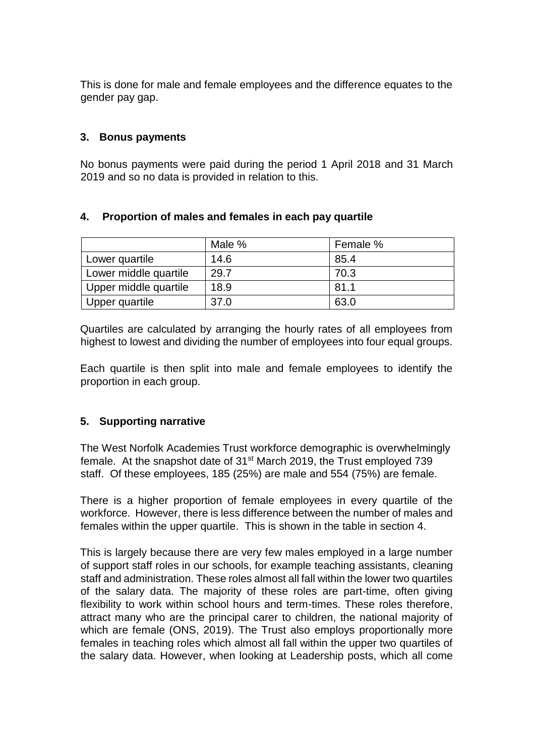This is done for male and female employees and the difference equates to the gender pay gap.

## **3. Bonus payments**

No bonus payments were paid during the period 1 April 2018 and 31 March 2019 and so no data is provided in relation to this.

# **4. Proportion of males and females in each pay quartile**

|                       | Male % | Female % |
|-----------------------|--------|----------|
| Lower quartile        | 14.6   | 85.4     |
| Lower middle quartile | 29.7   | 70.3     |
| Upper middle quartile | 18.9   | 81.1     |
| Upper quartile        | 37.0   | 63.0     |

Quartiles are calculated by arranging the hourly rates of all employees from highest to lowest and dividing the number of employees into four equal groups.

Each quartile is then split into male and female employees to identify the proportion in each group.

# **5. Supporting narrative**

The West Norfolk Academies Trust workforce demographic is overwhelmingly female. At the snapshot date of 31<sup>st</sup> March 2019, the Trust employed 739 staff. Of these employees, 185 (25%) are male and 554 (75%) are female.

There is a higher proportion of female employees in every quartile of the workforce. However, there is less difference between the number of males and females within the upper quartile. This is shown in the table in section 4.

This is largely because there are very few males employed in a large number of support staff roles in our schools, for example teaching assistants, cleaning staff and administration. These roles almost all fall within the lower two quartiles of the salary data. The majority of these roles are part-time, often giving flexibility to work within school hours and term-times. These roles therefore, attract many who are the principal carer to children, the national majority of which are female (ONS, 2019). The Trust also employs proportionally more females in teaching roles which almost all fall within the upper two quartiles of the salary data. However, when looking at Leadership posts, which all come